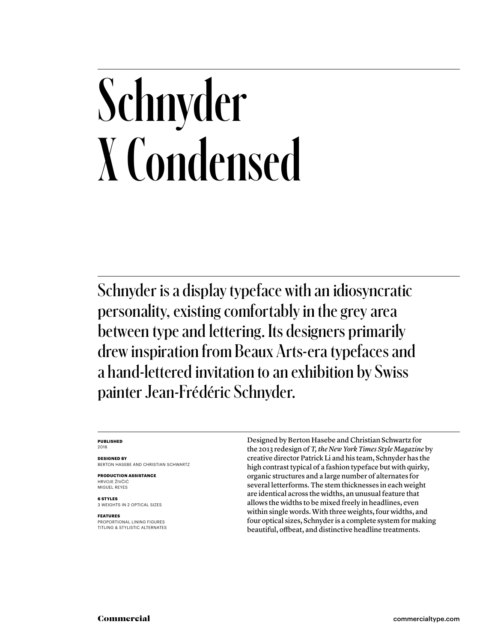## Schnyder X Condensed

Schnyder is a display typeface with an idiosyncratic personality, existing comfortably in the grey area between type and lettering. Its designers primarily drew inspiration from Beaux Arts-era typefaces and a hand-lettered invitation to an exhibition by Swiss painter Jean-Frédéric Schnyder.

### **PUBLISHED** 2018

**DESIGNED BY** BERTON HASEBE AND CHRISTIAN SCHWARTZ

**PRODUCTION ASSISTANCE** HRVOJE ŽIVČIĆ MIGUEL REYES

**6 STYLES** 3 WEIGHTS IN 2 OPTICAL SIZES

### **FEATURES**

PROPORTIONAL LINING FIGURES TITLING & STYLISTIC ALTERNATES Designed by Berton Hasebe and Christian Schwartz for the 2013 redesign of *T, the New York Times Style Magazine* by creative director Patrick Li and his team, Schnyder has the high contrast typical of a fashion typeface but with quirky, organic structures and a large number of alternates for several letterforms. The stem thicknesses in each weight are identical across the widths, an unusual feature that allows the widths to be mixed freely in headlines, even within single words. With three weights, four widths, and four optical sizes, Schnyder is a complete system for making beautiful, offbeat, and distinctive headline treatments.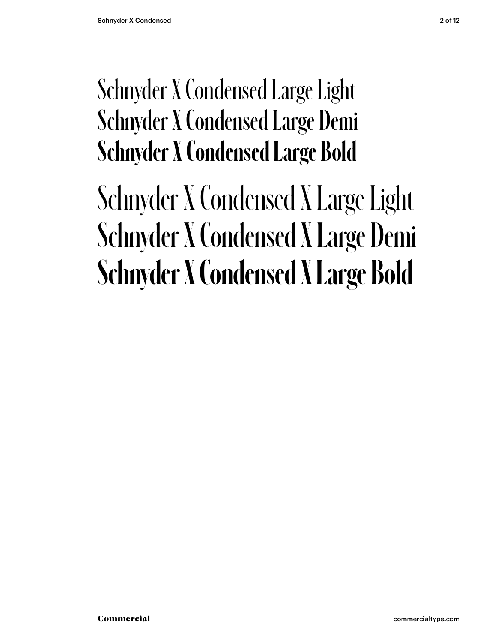### Schnyder X Condensed Large Light Schnyder X Condensed Large Demi **Schnyder X Condensed Large Bold**

### Schnyder X Condensed X Large Light Schnyder X Condensed X Large Demi **Schnyder X Condensed X Large Bold**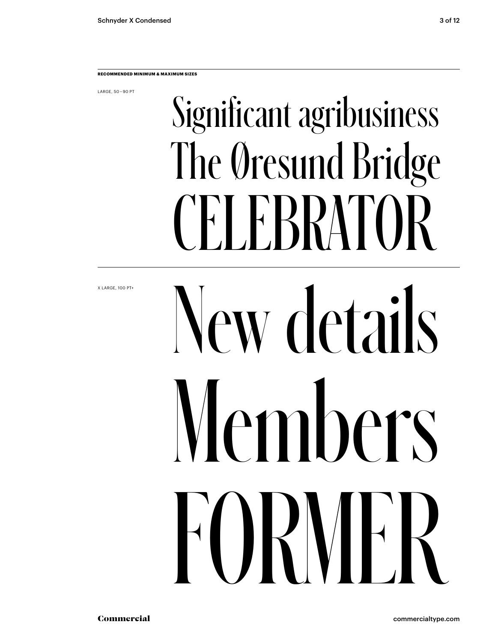LARGE, 50 – 90 PT

## Significant agribusiness The Øresund Bridge CELEBRATOR

X LARGE, 100 PT+

# New details Members FORMER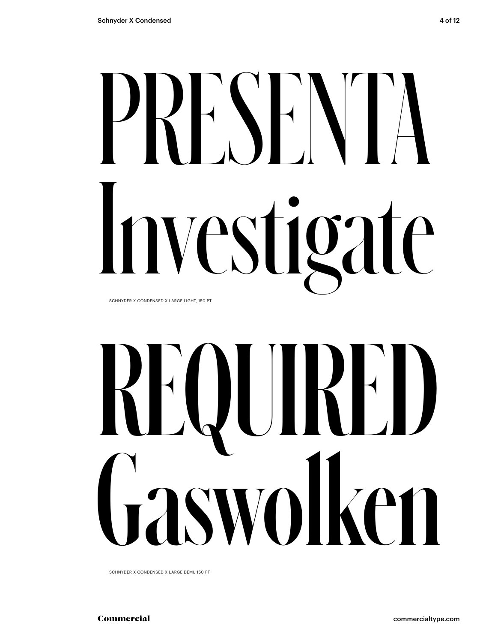# PRESENTA Investigate

SCHNYDER X CONDENSED X LARGE LIGHT, 150 PT

# REQUIRED<br>Gaswolken Gaswolken

SCHNYDER X CONDENSED X LARGE DEMI, 150 PT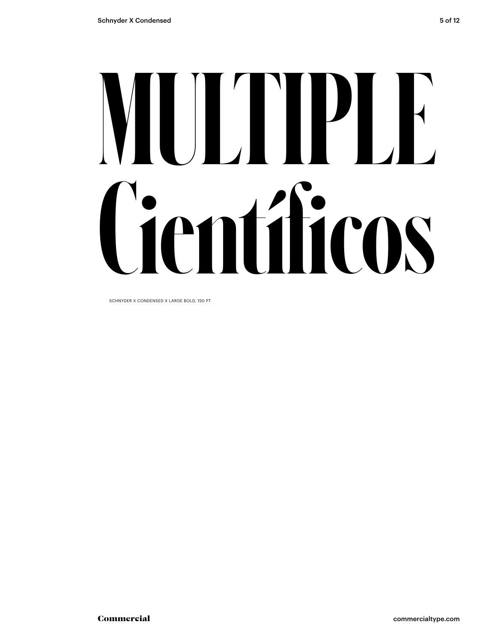# **MULTIPLE Científicos**

SCHNYDER X CONDENSED X LARGE BOLD, 150 PT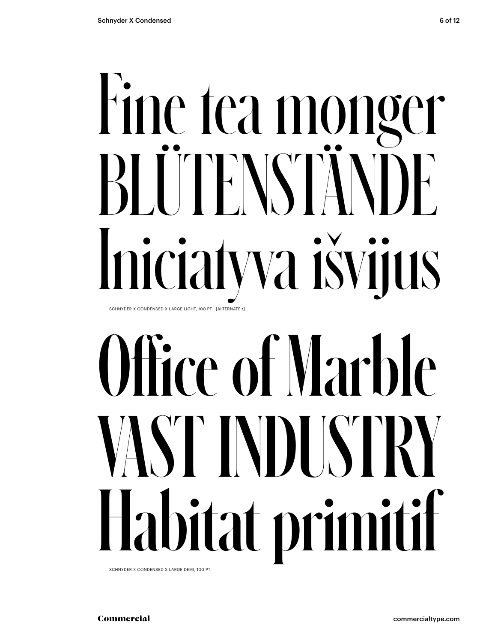## Fine tea monger BLUTENSTÄND Iniciatyva išvijus SCHNYDER X CONDENSED X LARGE LIGHT, 100 PT [ALTERNATE t]

## Office of Marble VAST INDUSTRY Habitat primitif

SCHNYDER X CONDENSED X LARGE DEMI, 100 PT

Commercial commercialtype.com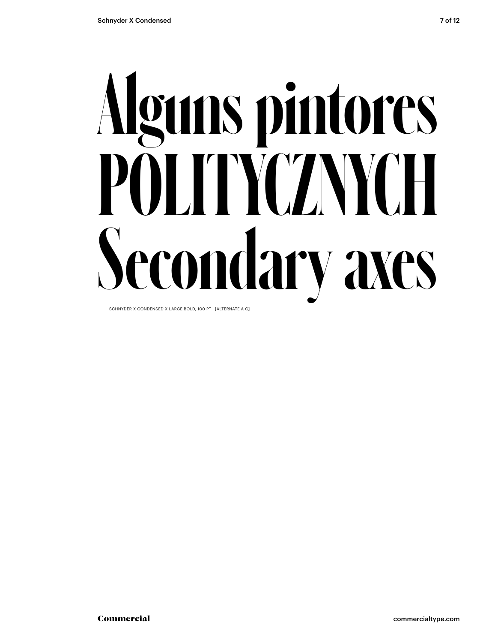## **Alguns pintores POLITYCZNYCH Secondary axes**

SCHNYDER X CONDENSED X LARGE BOLD, 100 PT [ALTERNATE A C]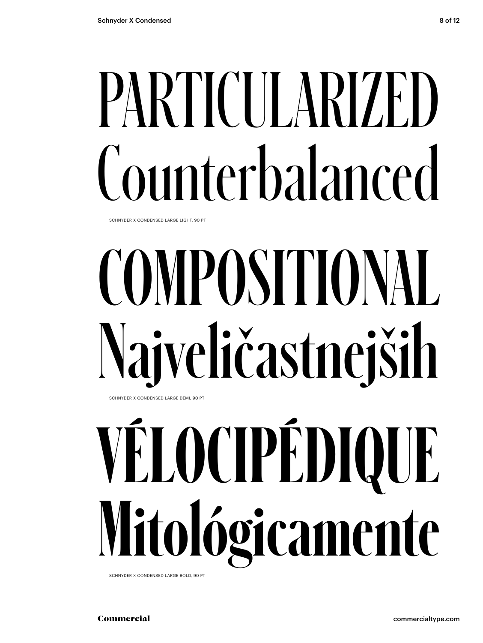## PARTICULARIZED Counterbalanced

SCHNYDER X CONDENSED LARGE LIGHT, 90 PT

## COMPOSITIONAL Najveličastnejših SCHNYDER X CONDENSED LARGE DEMI, 90 PT

## **VÉLOCIPÉDIQUE Mitológicamente**

SCHNYDER X CONDENSED LARGE BOLD, 90 PT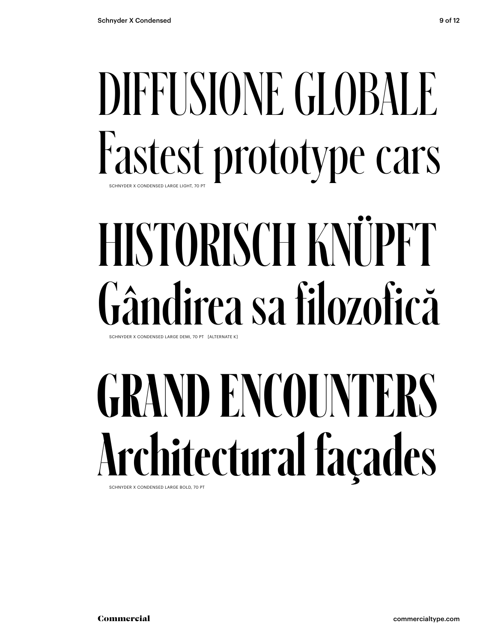### DIFFUSIONE GLOBALE Fastest prototype cars SCHNYDER X CONDENSED LARGE LIGHT, 70

### HISTORISCH KNÜPFT Gândirea sa filozofică SCHNYDER X CONDENSED LARGE DEMI, 70 PT [ALTERNATE K]

## **GRAND ENCOUNTERS Architectural façades**

SCHNYDER X CONDENSED LARGE BOLD, 70 PT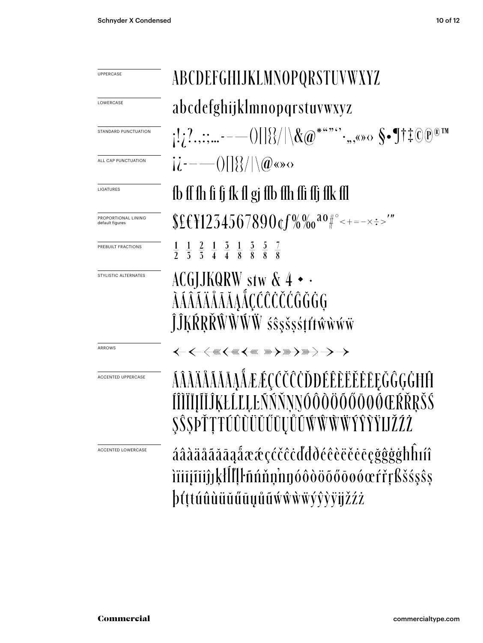| UPPERCASE                              | ABCDEFGHIJKLMNOPQRSTUVWXYZ                                                                                                                                                                                                                                                                                                                                                                                                                                                                       |  |  |
|----------------------------------------|--------------------------------------------------------------------------------------------------------------------------------------------------------------------------------------------------------------------------------------------------------------------------------------------------------------------------------------------------------------------------------------------------------------------------------------------------------------------------------------------------|--|--|
| LOWERCASE                              | abcdefghijklmnopqrstuvwxyz                                                                                                                                                                                                                                                                                                                                                                                                                                                                       |  |  |
| STANDARD PUNCTUATION                   |                                                                                                                                                                                                                                                                                                                                                                                                                                                                                                  |  |  |
| ALL CAP PUNCTUATION                    | $ \dot{l}$ - $-$ () $ \{\}\rangle$ $ \langle \hat{\phi}$ so $\circ$                                                                                                                                                                                                                                                                                                                                                                                                                              |  |  |
| LIGATURES                              | fb ff fh fi fj fk fl gj ffb ffh ffi ffj ffk ffl                                                                                                                                                                                                                                                                                                                                                                                                                                                  |  |  |
| PROPORTIONAL LINING<br>default figures | $$E$ \{\left{\$1234567890\text{6%%0^{20}}^{\cdot \end{8}}                                                                                                                                                                                                                                                                                                                                                                                                                                        |  |  |
| PREBUILT FRACTIONS                     | $\frac{1}{2}$ $\frac{1}{3}$ $\frac{2}{4}$ $\frac{1}{4}$ $\frac{3}{8}$ $\frac{1}{8}$ $\frac{5}{8}$ $\frac{7}{8}$                                                                                                                                                                                                                                                                                                                                                                                  |  |  |
| STYLISTIC ALTERNATES                   | ACGJJKQRW stw $\&$ 4 $\bullet$ $\cdot$<br>ĴĴĶŔŖŘŴŴŴŴ śŝşšşśtŕŧŵŵŵŵ                                                                                                                                                                                                                                                                                                                                                                                                                               |  |  |
| ARROWS                                 | $\leftarrow$ $\leftarrow$ $\leftarrow$ $\leftarrow$ $\leftarrow$ $\leftarrow$ $\leftarrow$ $\leftarrow$ $\leftarrow$ $\leftarrow$ $\leftarrow$ $\leftarrow$ $\leftarrow$ $\leftarrow$ $\leftarrow$ $\leftarrow$ $\leftarrow$ $\leftarrow$ $\leftarrow$ $\leftarrow$ $\leftarrow$ $\leftarrow$ $\leftarrow$ $\leftarrow$ $\leftarrow$ $\leftarrow$ $\leftarrow$ $\leftarrow$ $\leftarrow$ $\leftarrow$ $\leftarrow$ $\leftarrow$ $\leftarrow$ $\leftarrow$ $\leftarrow$ $\leftarrow$ $\leftarrow$ |  |  |
| <b>ACCENTED UPPERCASE</b>              | ÁÂĂÄÅĂĂĂĄÅÆÆÇĆČĈŎĐÉÊÈĔĔĔEĘĞĜĢĠĦĤ<br>ĬĬĴĶŁĹĽĻĿÑŃŇŅŊÓÔŎŎŐŐŐØŒŔŘŖŠŚ<br><u>OOOFFIJLOOOOOOOOO WWWWIITIJDLAL</u>                                                                                                                                                                                                                                                                                                                                                                                       |  |  |
| <b>ACCENTED LOWERCASE</b>              | áâàäåãããąåææçćčĉċďđðéêèëěēçğĝġġħĥıíî<br>iïiījīiiĵjķll!  ŀñńňņnnóôòöōőōøóœŕřŗßšśşŝş<br>þťttúûùüŭűūyůũẃŵẁẅýŷỳÿjžźż                                                                                                                                                                                                                                                                                                                                                                                 |  |  |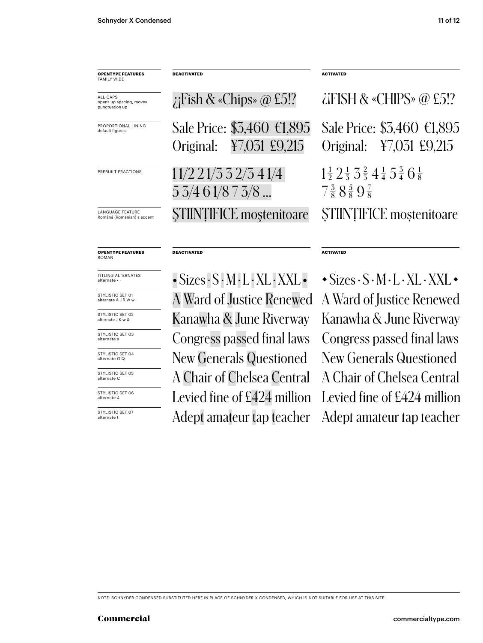| <b>OPENTYPE FEATURES</b><br><b>FAMILY WIDE</b>               | <b>DEACTIVATED</b>                                           | <b>ACTIVATED</b>                                                                                                                    |
|--------------------------------------------------------------|--------------------------------------------------------------|-------------------------------------------------------------------------------------------------------------------------------------|
| <b>ALL CAPS</b><br>opens up spacing, moves<br>punctuation up | ; Fish & «Chips» $\omega$ £5!?                               | $\angle$ iFISH & «CHIPS» @ £5!?                                                                                                     |
| PROPORTIONAL LINING<br>default figures                       | Sale Price: \$3,460 €1,895<br>¥7,031 £9,215<br>Original:     | Sale Price: \$3,460 €1,895<br>¥7,031 £9,215<br>Original:                                                                            |
| PREBUILT FRACTIONS                                           | $11/2$ $21/3$ $3$ $2/3$ $41/4$<br>$5\,3/4\,6\,1/8\,7\,3/8\,$ | $1\frac{1}{2}$ $2\frac{1}{3}$ $3\frac{2}{3}$ $4\frac{1}{4}$ $5\frac{3}{4}$ $6\frac{1}{8}$<br>$7\frac{3}{8}8\frac{5}{8}9\frac{7}{8}$ |
| <b>LANGUAGE FEATURE</b><br>Română (Romanian) s accent        | <b>STIINTIFICE</b> mostenitoare                              | STIINTIFICE moștenitoare                                                                                                            |
| <b>OPENTYPE FEATURES</b><br><b>ROMAN</b>                     | <b>DEACTIVATED</b>                                           | <b>ACTIVATED</b>                                                                                                                    |
| <b>TITLING ALTERNATES</b><br>alternate                       | $-Sizes S \cdot M \cdot L \cdot XL \cdot XXL$                | $\rightarrow$ Sizes $\cdot$ S $\cdot$ M $\cdot$ L $\cdot$ XL $\cdot$ XXL $\cdot$                                                    |
| STYLISTIC SET 01<br>alternate A J R W w                      | A Ward of Justice Renewed                                    | A Ward of Justice Renewed                                                                                                           |
| STYLISTIC SET 02<br>alternate J K w &                        | Kanawha & June Riverway                                      | Kanawha & June Riverway                                                                                                             |
| STYLISTIC SET 03<br>alternate s                              | Congress passed final laws                                   | Congress passed final laws                                                                                                          |

STYLISTIC SET 04 alternate G Q

STYLISTIC SET 05 alternate C

STYLISTIC SET 06 alternate 4

STYLISTIC SET 07 alternate t

New Generals Questioned New Generals Questioned A Chair of Chelsea Central A Chair of Chelsea Central Levied fine of £424 million Levied fine of £424 million Adept amateur tap teacher Adept amateur tap teacher

NOTE: SCHNYDER CONDENSED SUBSTITUTED HERE IN PLACE OF SCHNYDER X CONDENSED, WHICH IS NOT SUITABLE FOR USE AT THIS SIZE.